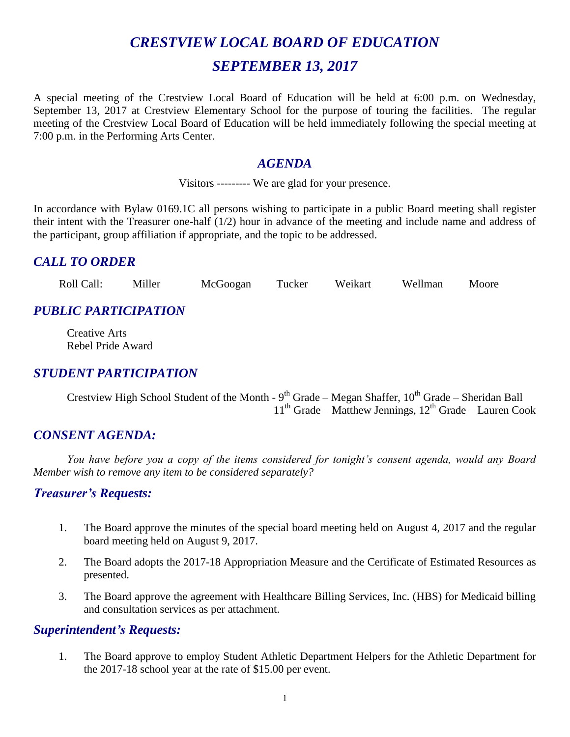# *CRESTVIEW LOCAL BOARD OF EDUCATION SEPTEMBER 13, 2017*

A special meeting of the Crestview Local Board of Education will be held at 6:00 p.m. on Wednesday, September 13, 2017 at Crestview Elementary School for the purpose of touring the facilities. The regular meeting of the Crestview Local Board of Education will be held immediately following the special meeting at 7:00 p.m. in the Performing Arts Center.

### *AGENDA*

Visitors --------- We are glad for your presence.

In accordance with Bylaw 0169.1C all persons wishing to participate in a public Board meeting shall register their intent with the Treasurer one-half (1/2) hour in advance of the meeting and include name and address of the participant, group affiliation if appropriate, and the topic to be addressed.

# *CALL TO ORDER*

Roll Call: Miller McGoogan Tucker Weikart Wellman Moore

# *PUBLIC PARTICIPATION*

Creative Arts Rebel Pride Award

# *STUDENT PARTICIPATION*

Crestview High School Student of the Month - 9<sup>th</sup> Grade – Megan Shaffer, 10<sup>th</sup> Grade – Sheridan Ball  $11<sup>th</sup>$  Grade – Matthew Jennings,  $12<sup>th</sup>$  Grade – Lauren Cook

# *CONSENT AGENDA:*

*You have before you a copy of the items considered for tonight's consent agenda, would any Board Member wish to remove any item to be considered separately?*

#### *Treasurer's Requests:*

- 1. The Board approve the minutes of the special board meeting held on August 4, 2017 and the regular board meeting held on August 9, 2017.
- 2. The Board adopts the 2017-18 Appropriation Measure and the Certificate of Estimated Resources as presented.
- 3. The Board approve the agreement with Healthcare Billing Services, Inc. (HBS) for Medicaid billing and consultation services as per attachment.

#### *Superintendent's Requests:*

1. The Board approve to employ Student Athletic Department Helpers for the Athletic Department for the 2017-18 school year at the rate of \$15.00 per event.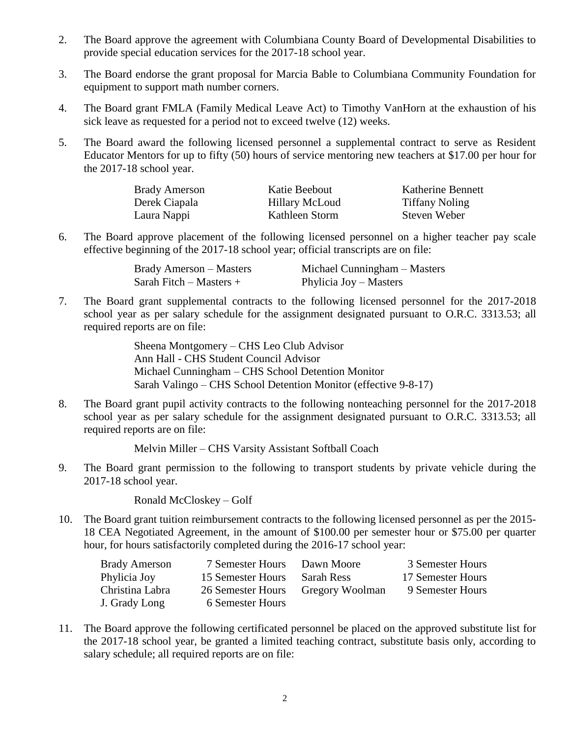- 2. The Board approve the agreement with Columbiana County Board of Developmental Disabilities to provide special education services for the 2017-18 school year.
- 3. The Board endorse the grant proposal for Marcia Bable to Columbiana Community Foundation for equipment to support math number corners.
- 4. The Board grant FMLA (Family Medical Leave Act) to Timothy VanHorn at the exhaustion of his sick leave as requested for a period not to exceed twelve (12) weeks.
- 5. The Board award the following licensed personnel a supplemental contract to serve as Resident Educator Mentors for up to fifty (50) hours of service mentoring new teachers at \$17.00 per hour for the 2017-18 school year.

| <b>Brady Amerson</b> | Katie Beebout         | Katherine Bennett     |
|----------------------|-----------------------|-----------------------|
| Derek Ciapala        | <b>Hillary McLoud</b> | <b>Tiffany Noling</b> |
| Laura Nappi          | Kathleen Storm        | Steven Weber          |

6. The Board approve placement of the following licensed personnel on a higher teacher pay scale effective beginning of the 2017-18 school year; official transcripts are on file:

| <b>Brady Amerson – Masters</b> | Michael Cunningham – Masters |
|--------------------------------|------------------------------|
| Sarah Fitch $-$ Masters $+$    | Phylicia Joy – Masters       |

7. The Board grant supplemental contracts to the following licensed personnel for the 2017-2018 school year as per salary schedule for the assignment designated pursuant to O.R.C. 3313.53; all required reports are on file:

> Sheena Montgomery – CHS Leo Club Advisor Ann Hall - CHS Student Council Advisor Michael Cunningham – CHS School Detention Monitor Sarah Valingo – CHS School Detention Monitor (effective 9-8-17)

8. The Board grant pupil activity contracts to the following nonteaching personnel for the 2017-2018 school year as per salary schedule for the assignment designated pursuant to O.R.C. 3313.53; all required reports are on file:

Melvin Miller – CHS Varsity Assistant Softball Coach

9. The Board grant permission to the following to transport students by private vehicle during the 2017-18 school year.

Ronald McCloskey – Golf

10. The Board grant tuition reimbursement contracts to the following licensed personnel as per the 2015- 18 CEA Negotiated Agreement, in the amount of \$100.00 per semester hour or \$75.00 per quarter hour, for hours satisfactorily completed during the 2016-17 school year:

| <b>Brady Amerson</b> | 7 Semester Hours  | Dawn Moore      | 3 Semester Hours  |
|----------------------|-------------------|-----------------|-------------------|
| Phylicia Joy         | 15 Semester Hours | Sarah Ress      | 17 Semester Hours |
| Christina Labra      | 26 Semester Hours | Gregory Woolman | 9 Semester Hours  |
| J. Grady Long        | 6 Semester Hours  |                 |                   |

11. The Board approve the following certificated personnel be placed on the approved substitute list for the 2017-18 school year, be granted a limited teaching contract, substitute basis only, according to salary schedule; all required reports are on file: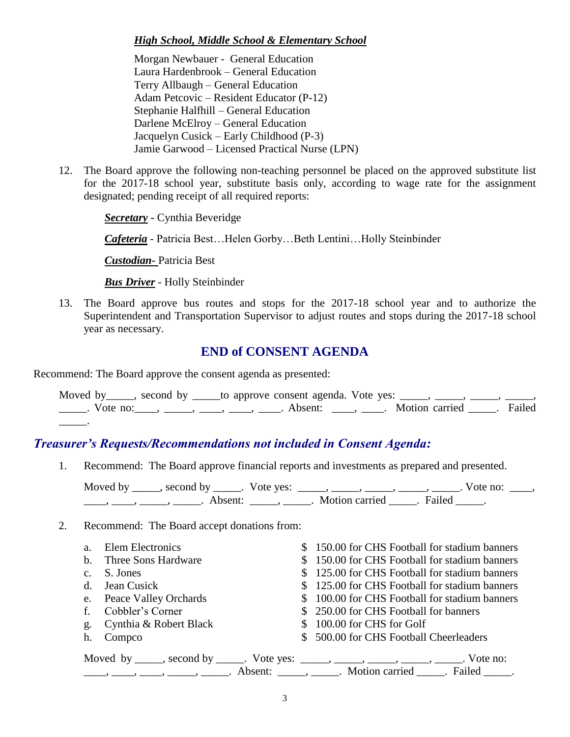#### *High School, Middle School & Elementary School*

Morgan Newbauer - General Education Laura Hardenbrook – General Education Terry Allbaugh – General Education Adam Petcovic – Resident Educator (P-12) Stephanie Halfhill – General Education Darlene McElroy – General Education Jacquelyn Cusick – Early Childhood (P-3) Jamie Garwood – Licensed Practical Nurse (LPN)

12. The Board approve the following non-teaching personnel be placed on the approved substitute list for the 2017-18 school year, substitute basis only, according to wage rate for the assignment designated; pending receipt of all required reports:

*Secretary -* Cynthia Beveridge

*Cafeteria* - Patricia Best…Helen Gorby…Beth Lentini…Holly Steinbinder

*Custodian-* Patricia Best

*Bus Driver* - Holly Steinbinder

13. The Board approve bus routes and stops for the 2017-18 school year and to authorize the Superintendent and Transportation Supervisor to adjust routes and stops during the 2017-18 school year as necessary.

#### **END of CONSENT AGENDA**

Recommend: The Board approve the consent agenda as presented:

| Moved by _____, second by ______to approve consent agenda. Vote yes: _____, _____, _____, _____,                                                                                                                            |  |  |  |  |
|-----------------------------------------------------------------------------------------------------------------------------------------------------------------------------------------------------------------------------|--|--|--|--|
| Let us a vote no: $\frac{1}{\sqrt{1-\frac{1}{n}}}, \frac{1}{\sqrt{1-\frac{1}{n}}}$ , $\frac{1}{\sqrt{1-\frac{1}{n}}}$ . Absent: $\frac{1}{\sqrt{1-\frac{1}{n}}}$ . Motion carried $\frac{1}{\sqrt{1-\frac{1}{n}}}$ . Failed |  |  |  |  |
|                                                                                                                                                                                                                             |  |  |  |  |

# *Treasurer's Requests/Recommendations not included in Consent Agenda:*

1. Recommend: The Board approve financial reports and investments as prepared and presented.

Moved by \_\_\_\_\_, second by \_\_\_\_\_. Vote yes: \_\_\_\_\_, \_\_\_\_\_, \_\_\_\_\_, \_\_\_\_\_, Vote no: \_\_\_\_, \_\_\_\_, \_\_\_\_, \_\_\_\_\_, Absent: \_\_\_\_\_, \_\_\_\_\_. Motion carried \_\_\_\_\_. Failed \_\_\_\_\_.

#### 2. Recommend: The Board accept donations from:

| a. Elem Electronics                                                                    | \$150.00 for CHS Football for stadium banners                                                                                                                                                                                 |
|----------------------------------------------------------------------------------------|-------------------------------------------------------------------------------------------------------------------------------------------------------------------------------------------------------------------------------|
| b. Three Sons Hardware                                                                 | \$150.00 for CHS Football for stadium banners                                                                                                                                                                                 |
| c. S. Jones                                                                            | \$125.00 for CHS Football for stadium banners                                                                                                                                                                                 |
| d. Jean Cusick                                                                         | \$125.00 for CHS Football for stadium banners                                                                                                                                                                                 |
| e. Peace Valley Orchards                                                               | \$100.00 for CHS Football for stadium banners                                                                                                                                                                                 |
| f. Cobbler's Corner                                                                    | \$250.00 for CHS Football for banners                                                                                                                                                                                         |
| g. Cynthia & Robert Black                                                              | \$100.00 for CHS for Golf                                                                                                                                                                                                     |
| h. Compco                                                                              | \$500.00 for CHS Football Cheerleaders                                                                                                                                                                                        |
| Moved by _____, second by _____. Vote yes: _____, _____, _____, _____, _____. Vote no: |                                                                                                                                                                                                                               |
|                                                                                        | a contract to the contract of the contract of the contract of the contract of the contract of the contract of the contract of the contract of the contract of the contract of the contract of the contract of the contract of |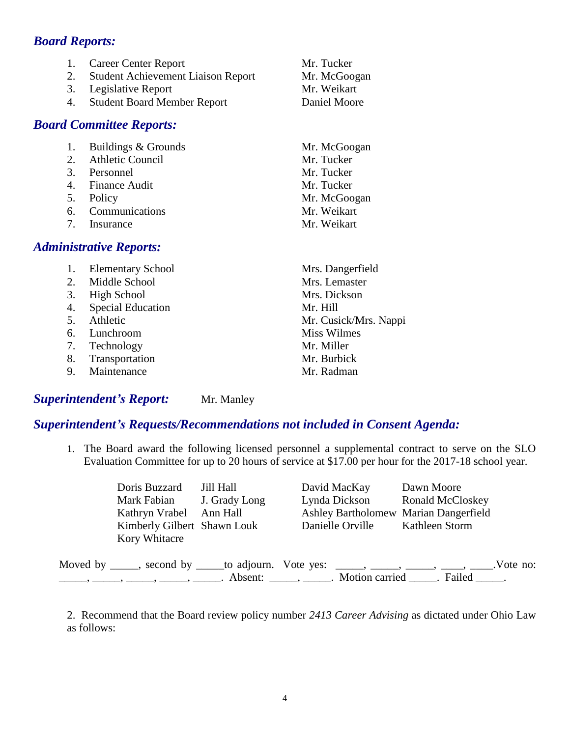### *Board Reports:*

| 1.<br>2.<br>3.<br>4. | <b>Career Center Report</b><br><b>Student Achievement Liaison Report</b><br>Legislative Report<br><b>Student Board Member Report</b><br><b>Board Committee Reports:</b> | Mr. Tucker<br>Mr. McGoogan<br>Mr. Weikart<br>Daniel Moore |
|----------------------|-------------------------------------------------------------------------------------------------------------------------------------------------------------------------|-----------------------------------------------------------|
| 1.                   | Buildings & Grounds                                                                                                                                                     | Mr. McGoogan                                              |
| 2.                   | <b>Athletic Council</b>                                                                                                                                                 | Mr. Tucker                                                |
|                      | 3. Personnel                                                                                                                                                            | Mr. Tucker                                                |
|                      | 4. Finance Audit                                                                                                                                                        | Mr. Tucker                                                |
| 5.                   | Policy                                                                                                                                                                  | Mr. McGoogan                                              |
| 6.                   | Communications                                                                                                                                                          | Mr. Weikart                                               |
| 7.                   | Insurance                                                                                                                                                               | Mr. Weikart                                               |
|                      | <b>Administrative Reports:</b>                                                                                                                                          |                                                           |
| 1.                   | <b>Elementary School</b>                                                                                                                                                | Mrs. Dangerfield                                          |
| 2.                   | Middle School                                                                                                                                                           | Mrs. Lemaster                                             |
| 3.                   | <b>High School</b>                                                                                                                                                      | Mrs. Dickson                                              |
| 4.                   | <b>Special Education</b>                                                                                                                                                | Mr. Hill                                                  |
| 5.                   | Athletic                                                                                                                                                                | Mr. Cusick/Mrs. Nappi                                     |
| 6.                   | Lunchroom                                                                                                                                                               | <b>Miss Wilmes</b>                                        |
|                      |                                                                                                                                                                         |                                                           |

- 7. Technology Mr. Miller
- 8. Transportation Mr. Burbick
- 9. Maintenance Mr. Radman

#### **Superintendent's Report:** Mr. Manley

#### *Superintendent's Requests/Recommendations not included in Consent Agenda:*

1. The Board award the following licensed personnel a supplemental contract to serve on the SLO Evaluation Committee for up to 20 hours of service at \$17.00 per hour for the 2017-18 school year.

| Doris Buzzard               | Jill Hall     | David MacKay                          | Dawn Moore                                                                                         |  |
|-----------------------------|---------------|---------------------------------------|----------------------------------------------------------------------------------------------------|--|
| Mark Fabian                 | J. Grady Long | Lynda Dickson                         | <b>Ronald McCloskey</b>                                                                            |  |
| Kathryn Vrabel Ann Hall     |               | Ashley Bartholomew Marian Dangerfield |                                                                                                    |  |
| Kimberly Gilbert Shawn Louk |               | Danielle Orville                      | Kathleen Storm                                                                                     |  |
| Kory Whitacre               |               |                                       |                                                                                                    |  |
|                             |               |                                       | Moved by _____, second by _____to adjourn. Vote yes: _____, _____, ____, ____, ____, ____.Vote no: |  |
|                             |               |                                       |                                                                                                    |  |

2. Recommend that the Board review policy number *2413 Career Advising* as dictated under Ohio Law as follows: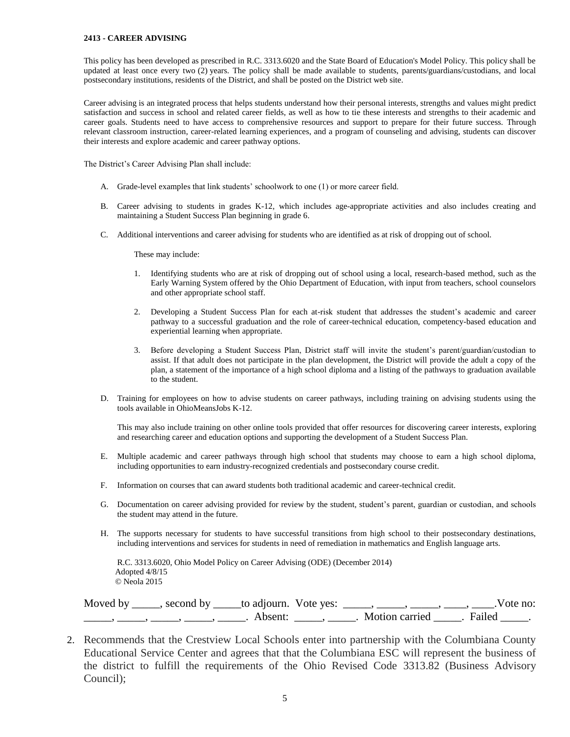#### **2413 - CAREER ADVISING**

This policy has been developed as prescribed in R.C. 3313.6020 and the State Board of Education's Model Policy. This policy shall be updated at least once every two (2) years. The policy shall be made available to students, parents/guardians/custodians, and local postsecondary institutions, residents of the District, and shall be posted on the District web site.

Career advising is an integrated process that helps students understand how their personal interests, strengths and values might predict satisfaction and success in school and related career fields, as well as how to tie these interests and strengths to their academic and career goals. Students need to have access to comprehensive resources and support to prepare for their future success. Through relevant classroom instruction, career-related learning experiences, and a program of counseling and advising, students can discover their interests and explore academic and career pathway options.

The District's Career Advising Plan shall include:

- A. Grade-level examples that link students' schoolwork to one (1) or more career field.
- B. Career advising to students in grades K-12, which includes age-appropriate activities and also includes creating and maintaining a Student Success Plan beginning in grade 6.
- C. Additional interventions and career advising for students who are identified as at risk of dropping out of school.

These may include:

- 1. Identifying students who are at risk of dropping out of school using a local, research-based method, such as the Early Warning System offered by the Ohio Department of Education, with input from teachers, school counselors and other appropriate school staff.
- 2. Developing a Student Success Plan for each at-risk student that addresses the student's academic and career pathway to a successful graduation and the role of career-technical education, competency-based education and experiential learning when appropriate.
- 3. Before developing a Student Success Plan, District staff will invite the student's parent/guardian/custodian to assist. If that adult does not participate in the plan development, the District will provide the adult a copy of the plan, a statement of the importance of a high school diploma and a listing of the pathways to graduation available to the student.
- D. Training for employees on how to advise students on career pathways, including training on advising students using the tools available in OhioMeansJobs K-12.

This may also include training on other online tools provided that offer resources for discovering career interests, exploring and researching career and education options and supporting the development of a Student Success Plan.

- E. Multiple academic and career pathways through high school that students may choose to earn a high school diploma, including opportunities to earn industry-recognized credentials and postsecondary course credit.
- F. Information on courses that can award students both traditional academic and career-technical credit.
- G. Documentation on career advising provided for review by the student, student's parent, guardian or custodian, and schools the student may attend in the future.
- H. The supports necessary for students to have successful transitions from high school to their postsecondary destinations, including interventions and services for students in need of remediation in mathematics and English language arts.

 R.C. 3313.6020, Ohio Model Policy on Career Advising (ODE) (December 2014) Adopted 4/8/15 © Neola 2015

| Moved by | second by | to adjourn. Vote yes: |                | Vote no: |  |
|----------|-----------|-----------------------|----------------|----------|--|
|          |           | Absent:               | Motion carried | Failed   |  |

2. Recommends that the Crestview Local Schools enter into partnership with the Columbiana County Educational Service Center and agrees that that the Columbiana ESC will represent the business of the district to fulfill the requirements of the Ohio Revised Code 3313.82 (Business Advisory Council);